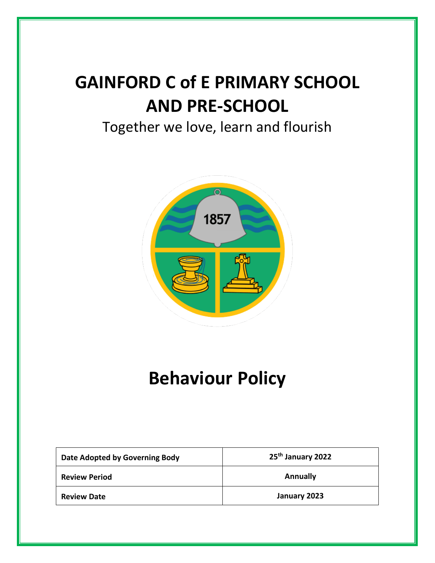# **GAINFORD C of E PRIMARY SCHOOL AND PRE-SCHOOL**

# Together we love, learn and flourish



# **Behaviour Policy**

| Date Adopted by Governing Body | 25 <sup>th</sup> January 2022 |
|--------------------------------|-------------------------------|
| <b>Review Period</b>           | Annually                      |
| <b>Review Date</b>             | January 2023                  |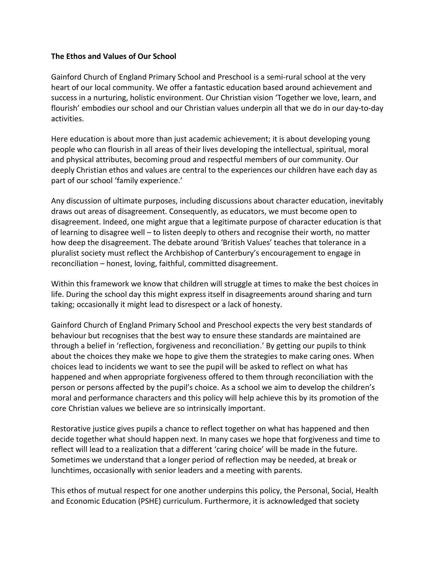#### **The Ethos and Values of Our School**

Gainford Church of England Primary School and Preschool is a semi-rural school at the very heart of our local community. We offer a fantastic education based around achievement and success in a nurturing, holistic environment. Our Christian vision 'Together we love, learn, and flourish' embodies our school and our Christian values underpin all that we do in our day-to-day activities.

Here education is about more than just academic achievement; it is about developing young people who can flourish in all areas of their lives developing the intellectual, spiritual, moral and physical attributes, becoming proud and respectful members of our community. Our deeply Christian ethos and values are central to the experiences our children have each day as part of our school 'family experience.'

Any discussion of ultimate purposes, including discussions about character education, inevitably draws out areas of disagreement. Consequently, as educators, we must become open to disagreement. Indeed, one might argue that a legitimate purpose of character education is that of learning to disagree well – to listen deeply to others and recognise their worth, no matter how deep the disagreement. The debate around 'British Values' teaches that tolerance in a pluralist society must reflect the Archbishop of Canterbury's encouragement to engage in reconciliation – honest, loving, faithful, committed disagreement.

Within this framework we know that children will struggle at times to make the best choices in life. During the school day this might express itself in disagreements around sharing and turn taking; occasionally it might lead to disrespect or a lack of honesty.

Gainford Church of England Primary School and Preschool expects the very best standards of behaviour but recognises that the best way to ensure these standards are maintained are through a belief in 'reflection, forgiveness and reconciliation.' By getting our pupils to think about the choices they make we hope to give them the strategies to make caring ones. When choices lead to incidents we want to see the pupil will be asked to reflect on what has happened and when appropriate forgiveness offered to them through reconciliation with the person or persons affected by the pupil's choice. As a school we aim to develop the children's moral and performance characters and this policy will help achieve this by its promotion of the core Christian values we believe are so intrinsically important.

Restorative justice gives pupils a chance to reflect together on what has happened and then decide together what should happen next. In many cases we hope that forgiveness and time to reflect will lead to a realization that a different 'caring choice' will be made in the future. Sometimes we understand that a longer period of reflection may be needed, at break or lunchtimes, occasionally with senior leaders and a meeting with parents.

This ethos of mutual respect for one another underpins this policy, the Personal, Social, Health and Economic Education (PSHE) curriculum. Furthermore, it is acknowledged that society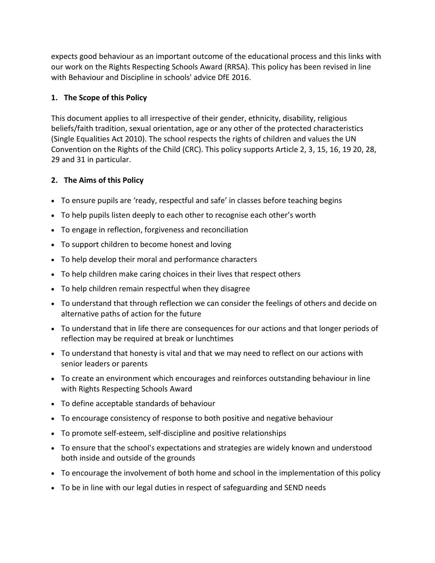expects good behaviour as an important outcome of the educational process and this links with our work on the Rights Respecting Schools Award (RRSA). This policy has been revised in line with Behaviour and Discipline in schools' advice DfE 2016.

# **1. The Scope of this Policy**

This document applies to all irrespective of their gender, ethnicity, disability, religious beliefs/faith tradition, sexual orientation, age or any other of the protected characteristics (Single Equalities Act 2010). The school respects the rights of children and values the UN Convention on the Rights of the Child (CRC). This policy supports Article 2, 3, 15, 16, 19 20, 28, 29 and 31 in particular.

# **2. The Aims of this Policy**

- To ensure pupils are 'ready, respectful and safe' in classes before teaching begins
- To help pupils listen deeply to each other to recognise each other's worth
- To engage in reflection, forgiveness and reconciliation
- To support children to become honest and loving
- To help develop their moral and performance characters
- To help children make caring choices in their lives that respect others
- To help children remain respectful when they disagree
- To understand that through reflection we can consider the feelings of others and decide on alternative paths of action for the future
- To understand that in life there are consequences for our actions and that longer periods of reflection may be required at break or lunchtimes
- To understand that honesty is vital and that we may need to reflect on our actions with senior leaders or parents
- To create an environment which encourages and reinforces outstanding behaviour in line with Rights Respecting Schools Award
- To define acceptable standards of behaviour
- To encourage consistency of response to both positive and negative behaviour
- To promote self-esteem, self-discipline and positive relationships
- To ensure that the school's expectations and strategies are widely known and understood both inside and outside of the grounds
- To encourage the involvement of both home and school in the implementation of this policy
- To be in line with our legal duties in respect of safeguarding and SEND needs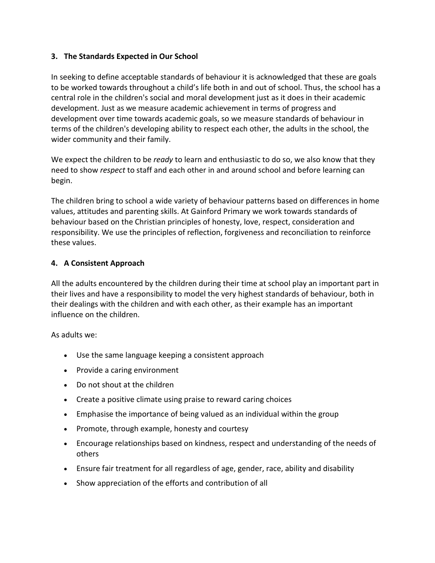# **3. The Standards Expected in Our School**

In seeking to define acceptable standards of behaviour it is acknowledged that these are goals to be worked towards throughout a child's life both in and out of school. Thus, the school has a central role in the children's social and moral development just as it does in their academic development. Just as we measure academic achievement in terms of progress and development over time towards academic goals, so we measure standards of behaviour in terms of the children's developing ability to respect each other, the adults in the school, the wider community and their family.

We expect the children to be *ready* to learn and enthusiastic to do so, we also know that they need to show *respect* to staff and each other in and around school and before learning can begin.

The children bring to school a wide variety of behaviour patterns based on differences in home values, attitudes and parenting skills. At Gainford Primary we work towards standards of behaviour based on the Christian principles of honesty, love, respect, consideration and responsibility. We use the principles of reflection, forgiveness and reconciliation to reinforce these values.

#### **4. A Consistent Approach**

All the adults encountered by the children during their time at school play an important part in their lives and have a responsibility to model the very highest standards of behaviour, both in their dealings with the children and with each other, as their example has an important influence on the children.

As adults we:

- Use the same language keeping a consistent approach
- Provide a caring environment
- Do not shout at the children
- Create a positive climate using praise to reward caring choices
- Emphasise the importance of being valued as an individual within the group
- Promote, through example, honesty and courtesy
- Encourage relationships based on kindness, respect and understanding of the needs of others
- Ensure fair treatment for all regardless of age, gender, race, ability and disability
- Show appreciation of the efforts and contribution of all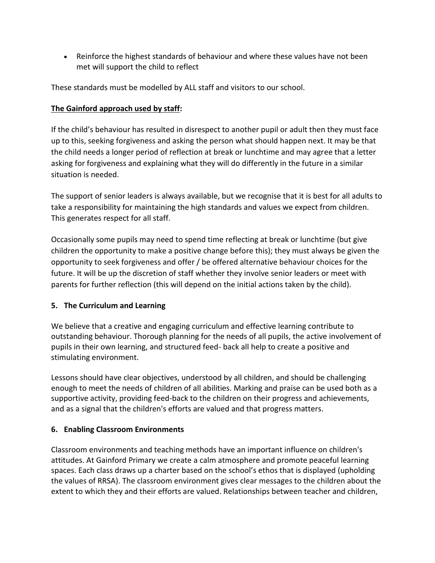• Reinforce the highest standards of behaviour and where these values have not been met will support the child to reflect

These standards must be modelled by ALL staff and visitors to our school.

# **The Gainford approach used by staff:**

If the child's behaviour has resulted in disrespect to another pupil or adult then they must face up to this, seeking forgiveness and asking the person what should happen next. It may be that the child needs a longer period of reflection at break or lunchtime and may agree that a letter asking for forgiveness and explaining what they will do differently in the future in a similar situation is needed.

The support of senior leaders is always available, but we recognise that it is best for all adults to take a responsibility for maintaining the high standards and values we expect from children. This generates respect for all staff.

Occasionally some pupils may need to spend time reflecting at break or lunchtime (but give children the opportunity to make a positive change before this); they must always be given the opportunity to seek forgiveness and offer / be offered alternative behaviour choices for the future. It will be up the discretion of staff whether they involve senior leaders or meet with parents for further reflection (this will depend on the initial actions taken by the child).

# **5. The Curriculum and Learning**

We believe that a creative and engaging curriculum and effective learning contribute to outstanding behaviour. Thorough planning for the needs of all pupils, the active involvement of pupils in their own learning, and structured feed- back all help to create a positive and stimulating environment.

Lessons should have clear objectives, understood by all children, and should be challenging enough to meet the needs of children of all abilities. Marking and praise can be used both as a supportive activity, providing feed-back to the children on their progress and achievements, and as a signal that the children's efforts are valued and that progress matters.

# **6. Enabling Classroom Environments**

Classroom environments and teaching methods have an important influence on children's attitudes. At Gainford Primary we create a calm atmosphere and promote peaceful learning spaces. Each class draws up a charter based on the school's ethos that is displayed (upholding the values of RRSA). The classroom environment gives clear messages to the children about the extent to which they and their efforts are valued. Relationships between teacher and children,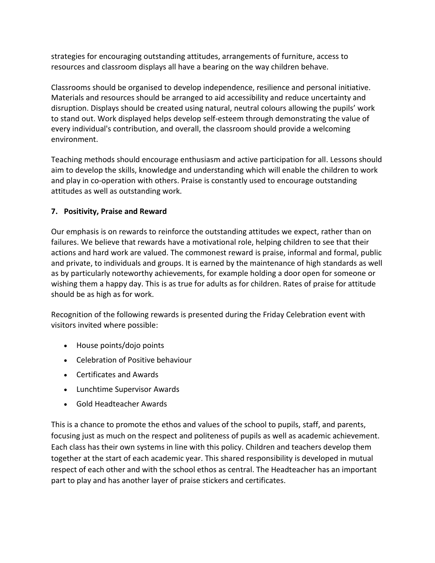strategies for encouraging outstanding attitudes, arrangements of furniture, access to resources and classroom displays all have a bearing on the way children behave.

Classrooms should be organised to develop independence, resilience and personal initiative. Materials and resources should be arranged to aid accessibility and reduce uncertainty and disruption. Displays should be created using natural, neutral colours allowing the pupils' work to stand out. Work displayed helps develop self-esteem through demonstrating the value of every individual's contribution, and overall, the classroom should provide a welcoming environment.

Teaching methods should encourage enthusiasm and active participation for all. Lessons should aim to develop the skills, knowledge and understanding which will enable the children to work and play in co-operation with others. Praise is constantly used to encourage outstanding attitudes as well as outstanding work.

# **7. Positivity, Praise and Reward**

Our emphasis is on rewards to reinforce the outstanding attitudes we expect, rather than on failures. We believe that rewards have a motivational role, helping children to see that their actions and hard work are valued. The commonest reward is praise, informal and formal, public and private, to individuals and groups. It is earned by the maintenance of high standards as well as by particularly noteworthy achievements, for example holding a door open for someone or wishing them a happy day. This is as true for adults as for children. Rates of praise for attitude should be as high as for work.

Recognition of the following rewards is presented during the Friday Celebration event with visitors invited where possible:

- House points/dojo points
- Celebration of Positive behaviour
- Certificates and Awards
- Lunchtime Supervisor Awards
- Gold Headteacher Awards

This is a chance to promote the ethos and values of the school to pupils, staff, and parents, focusing just as much on the respect and politeness of pupils as well as academic achievement. Each class has their own systems in line with this policy. Children and teachers develop them together at the start of each academic year. This shared responsibility is developed in mutual respect of each other and with the school ethos as central. The Headteacher has an important part to play and has another layer of praise stickers and certificates.